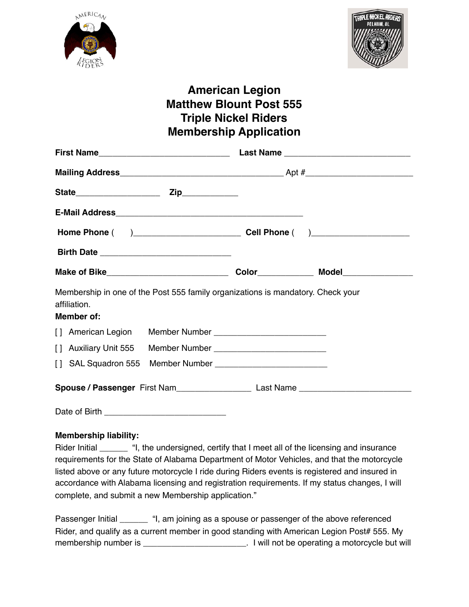



## **American Legion Matthew Blount Post 555 Triple Nickel Riders Membership Application**

| Membership in one of the Post 555 family organizations is mandatory. Check your<br>affiliation.<br>Member of: |  |  |
|---------------------------------------------------------------------------------------------------------------|--|--|
| [] American Legion Member Number ____________________________                                                 |  |  |
|                                                                                                               |  |  |
|                                                                                                               |  |  |
|                                                                                                               |  |  |
| Date of Birth                                                                                                 |  |  |

**Membership liability:**

Rider Initial \_\_\_\_\_\_ "I, the undersigned, certify that I meet all of the licensing and insurance requirements for the State of Alabama Department of Motor Vehicles, and that the motorcycle listed above or any future motorcycle I ride during Riders events is registered and insured in accordance with Alabama licensing and registration requirements. If my status changes, I will complete, and submit a new Membership application."

Passenger Initial **Example 1**, am joining as a spouse or passenger of the above referenced Rider, and qualify as a current member in good standing with American Legion Post# 555. My membership number is \_\_\_\_\_\_\_\_\_\_\_\_\_\_\_\_\_\_\_\_\_\_\_\_. I will not be operating a motorcycle but will